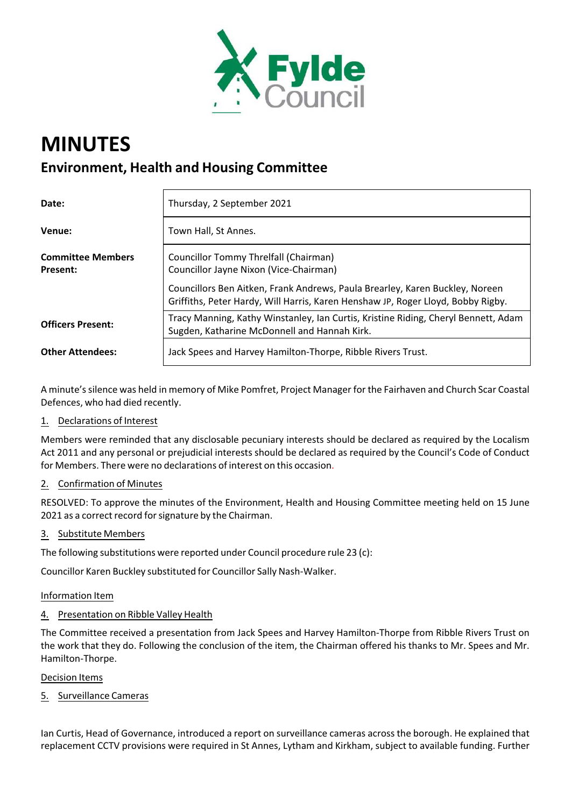

# **MINUTES Environment, Health and Housing Committee**

| Date:                                       | Thursday, 2 September 2021                                                                                                                                       |
|---------------------------------------------|------------------------------------------------------------------------------------------------------------------------------------------------------------------|
| Venue:                                      | Town Hall, St Annes.                                                                                                                                             |
| <b>Committee Members</b><br><b>Present:</b> | Councillor Tommy Threlfall (Chairman)<br>Councillor Jayne Nixon (Vice-Chairman)                                                                                  |
|                                             | Councillors Ben Aitken, Frank Andrews, Paula Brearley, Karen Buckley, Noreen<br>Griffiths, Peter Hardy, Will Harris, Karen Henshaw JP, Roger Lloyd, Bobby Rigby. |
| <b>Officers Present:</b>                    | Tracy Manning, Kathy Winstanley, Ian Curtis, Kristine Riding, Cheryl Bennett, Adam<br>Sugden, Katharine McDonnell and Hannah Kirk.                               |
| <b>Other Attendees:</b>                     | Jack Spees and Harvey Hamilton-Thorpe, Ribble Rivers Trust.                                                                                                      |

A minute'ssilence was held in memory of Mike Pomfret, Project Manager for the Fairhaven and Church Scar Coastal Defences, who had died recently.

# 1. Declarations of Interest

Members were reminded that any disclosable pecuniary interests should be declared as required by the Localism Act 2011 and any personal or prejudicial interests should be declared as required by the Council's Code of Conduct for Members. There were no declarations of interest on this occasion.

# 2. Confirmation of Minutes

RESOLVED: To approve the minutes of the Environment, Health and Housing Committee meeting held on 15 June 2021 as a correct record for signature by the Chairman.

## 3. Substitute Members

The following substitutions were reported under Council procedure rule 23 (c):

Councillor Karen Buckley substituted for Councillor Sally Nash‐Walker.

## Information Item

# 4. Presentation on Ribble Valley Health

The Committee received a presentation from Jack Spees and Harvey Hamilton‐Thorpe from Ribble Rivers Trust on the work that they do. Following the conclusion of the item, the Chairman offered his thanks to Mr. Spees and Mr. Hamilton‐Thorpe.

## Decision Items

5. Surveillance Cameras

Ian Curtis, Head of Governance, introduced a report on surveillance cameras across the borough. He explained that replacement CCTV provisions were required in St Annes, Lytham and Kirkham, subject to available funding. Further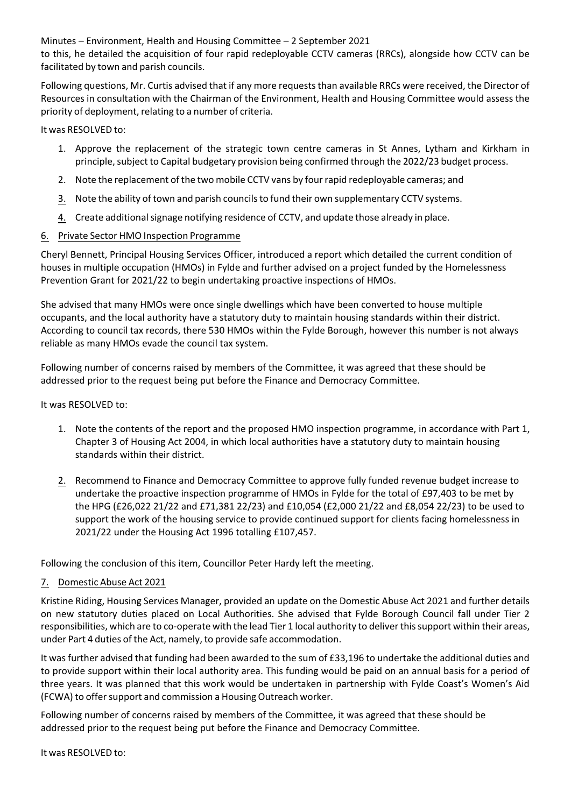Minutes – Environment, Health and Housing Committee – 2 September 2021

to this, he detailed the acquisition of four rapid redeployable CCTV cameras (RRCs), alongside how CCTV can be facilitated by town and parish councils.

Following questions, Mr. Curtis advised that if any more requeststhan available RRCs were received, the Director of Resources in consultation with the Chairman of the Environment, Health and Housing Committee would assess the priority of deployment, relating to a number of criteria.

It was RESOLVED to:

- 1. Approve the replacement of the strategic town centre cameras in St Annes, Lytham and Kirkham in principle, subject to Capital budgetary provision being confirmed through the 2022/23 budget process.
- 2. Note the replacement of the two mobile CCTV vans by fourrapid redeployable cameras; and
- 3. Note the ability of town and parish councilsto fund their own supplementary CCTV systems.
- 4. Create additional signage notifying residence of CCTV, and update those already in place.

# 6. Private Sector HMO Inspection Programme

Cheryl Bennett, Principal Housing Services Officer, introduced a report which detailed the current condition of houses in multiple occupation (HMOs) in Fylde and further advised on a project funded by the Homelessness Prevention Grant for 2021/22 to begin undertaking proactive inspections of HMOs.

She advised that many HMOs were once single dwellings which have been converted to house multiple occupants, and the local authority have a statutory duty to maintain housing standards within their district. According to council tax records, there 530 HMOs within the Fylde Borough, however this number is not always reliable as many HMOs evade the council tax system.

Following number of concerns raised by members of the Committee, it was agreed that these should be addressed prior to the request being put before the Finance and Democracy Committee.

It was RESOLVED to:

- 1. Note the contents of the report and the proposed HMO inspection programme, in accordance with Part 1, Chapter 3 of Housing Act 2004, in which local authorities have a statutory duty to maintain housing standards within their district.
- 2. Recommend to Finance and Democracy Committee to approve fully funded revenue budget increase to undertake the proactive inspection programme of HMOs in Fylde for the total of £97,403 to be met by the HPG (£26,022 21/22 and £71,381 22/23) and £10,054 (£2,000 21/22 and £8,054 22/23) to be used to support the work of the housing service to provide continued support for clients facing homelessness in 2021/22 under the Housing Act 1996 totalling £107,457.

Following the conclusion of this item, Councillor Peter Hardy left the meeting.

## 7. Domestic Abuse Act 2021

Kristine Riding, Housing Services Manager, provided an update on the Domestic Abuse Act 2021 and further details on new statutory duties placed on Local Authorities. She advised that Fylde Borough Council fall under Tier 2 responsibilities, which are to co-operate with the lead Tier 1 local authority to deliver this support within their areas, under Part 4 duties of the Act, namely, to provide safe accommodation.

It was further advised that funding had been awarded to the sum of £33,196 to undertake the additional duties and to provide support within their local authority area. This funding would be paid on an annual basis for a period of three years. It was planned that this work would be undertaken in partnership with Fylde Coast's Women's Aid (FCWA) to offer support and commission a Housing Outreach worker.

Following number of concerns raised by members of the Committee, it was agreed that these should be addressed prior to the request being put before the Finance and Democracy Committee.

It was RESOLVED to: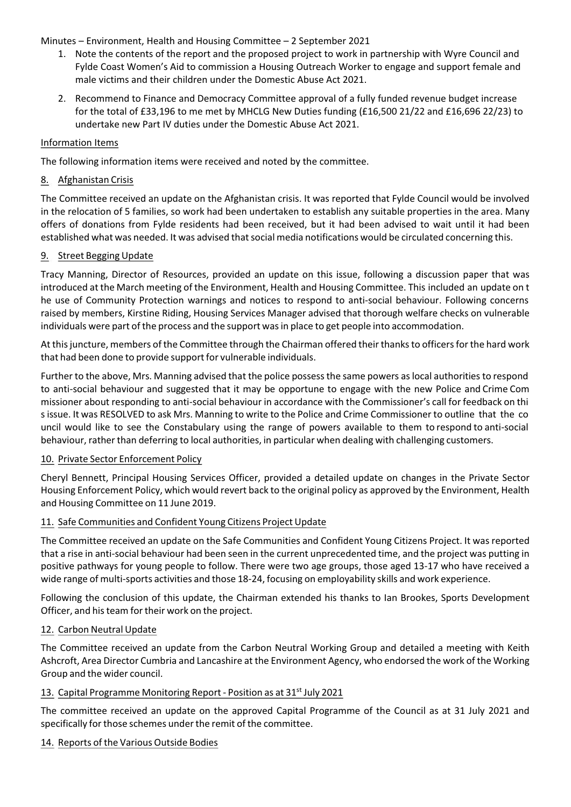Minutes – Environment, Health and Housing Committee – 2 September 2021

- 1. Note the contents of the report and the proposed project to work in partnership with Wyre Council and Fylde Coast Women's Aid to commission a Housing Outreach Worker to engage and support female and male victims and their children under the Domestic Abuse Act 2021.
- 2. Recommend to Finance and Democracy Committee approval of a fully funded revenue budget increase for the total of £33,196 to me met by MHCLG New Duties funding (£16,500 21/22 and £16,696 22/23) to undertake new Part IV duties under the Domestic Abuse Act 2021.

## Information Items

The following information items were received and noted by the committee.

# 8. Afghanistan Crisis

The Committee received an update on the Afghanistan crisis. It was reported that Fylde Council would be involved in the relocation of 5 families, so work had been undertaken to establish any suitable properties in the area. Many offers of donations from Fylde residents had been received, but it had been advised to wait until it had been established what was needed. It was advised that social media notifications would be circulated concerning this.

# 9. Street Begging Update

Tracy Manning, Director of Resources, provided an update on this issue, following a discussion paper that was introduced at the March meeting of the Environment, Health and Housing Committee. This included an update on t he use of Community Protection warnings and notices to respond to anti-social behaviour. Following concerns raised by members, Kirstine Riding, Housing Services Manager advised that thorough welfare checks on vulnerable individuals were part of the process and the support wasin place to get people into accommodation.

At this juncture, members of the Committee through the Chairman offered their thanks to officers for the hard work that had been done to provide support for vulnerable individuals.

Further to the above, Mrs. Manning advised that the police possess the same powers as local authorities to respond to anti‐social behaviour and suggested that it may be opportune to engage with the new Police and Crime Com missioner about responding to anti‐social behaviour in accordance with the Commissioner's call for feedback on thi s issue. It was RESOLVED to ask Mrs. Manning to write to the Police and Crime Commissioner to outline that the co uncil would like to see the Constabulary using the range of powers available to them to respond to anti‐social behaviour, rather than deferring to local authorities, in particular when dealing with challenging customers.

# 10. Private Sector Enforcement Policy

Cheryl Bennett, Principal Housing Services Officer, provided a detailed update on changes in the Private Sector Housing Enforcement Policy, which would revert back to the original policy as approved by the Environment, Health and Housing Committee on 11 June 2019.

## 11. Safe Communities and Confident Young Citizens Project Update

The Committee received an update on the Safe Communities and Confident Young Citizens Project. It was reported that a rise in anti‐social behaviour had been seen in the current unprecedented time, and the project was putting in positive pathways for young people to follow. There were two age groups, those aged 13‐17 who have received a wide range of multi-sports activities and those 18-24, focusing on employability skills and work experience.

Following the conclusion of this update, the Chairman extended his thanks to Ian Brookes, Sports Development Officer, and histeam fortheir work on the project.

## 12. Carbon Neutral Update

The Committee received an update from the Carbon Neutral Working Group and detailed a meeting with Keith Ashcroft, Area Director Cumbria and Lancashire at the Environment Agency, who endorsed the work of the Working Group and the wider council.

## 13. Capital Programme Monitoring Report - Position as at 31<sup>st</sup> July 2021

The committee received an update on the approved Capital Programme of the Council as at 31 July 2021 and specifically for those schemes under the remit of the committee.

## 14. Reports of the Various Outside Bodies